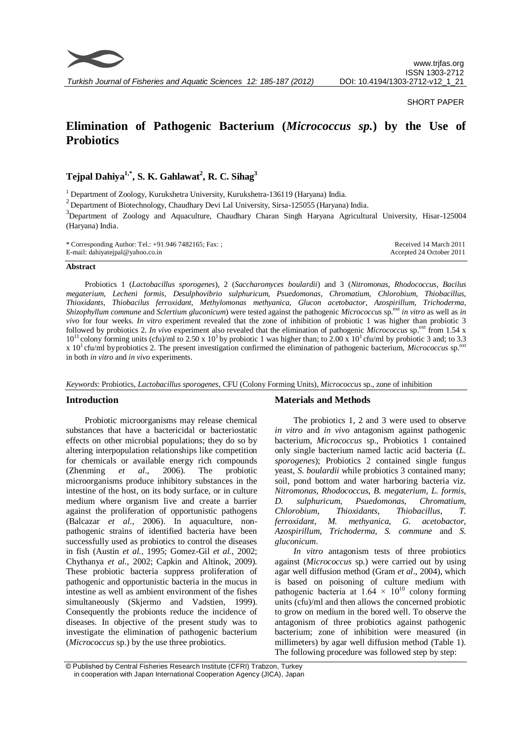

## SHORT PAPER

# **Elimination of Pathogenic Bacterium (***Micrococcus sp.***) by the Use of Probiotics**

**Tejpal Dahiya1,\*, S. K. Gahlawat<sup>2</sup> , R. C. Sihag<sup>3</sup>**

<sup>1</sup> Department of Zoology, Kurukshetra University, Kurukshetra-136119 (Haryana) India.

 $2$  Department of Biotechnology, Chaudhary Devi Lal University, Sirsa-125055 (Haryana) India.

<sup>3</sup>Department of Zoology and Aquaculture, Chaudhary Charan Singh Haryana Agricultural University, Hisar-125004 (Haryana) India.

| * Corresponding Author: Tel.: $+91.9467482165$ ; Fax: ; | Received 14 March 2011   |
|---------------------------------------------------------|--------------------------|
| E-mail: dahiyatejpal@yahoo.co.in                        | Accepted 24 October 2011 |

## **Abstract**

Probiotics 1 (*Lactobacillus sporogenes*), 2 (*Saccharomyces boulardii*) and 3 (*Nitromonas*, *Rhodococcus*, *Bacilus megaterium*, *Lecheni formis*, *Desulphovibrio sulphuricum*, *Psuedomonas*, *Chromatium*, *Chlorobium*, *Thiobacillus*, *Thioxidants*, *Thiobacilus ferroxidant*, *Methylomonas methyanica*, *Glucon acetobactor*, *Azospirillum*, *Trichoderma*, *Shizophyllum commune* and *Sclertium gluconicum*) were tested against the pathogenic *Micrococcus* sp.<sup>oxt</sup> *in vitro* as well as *in vivo* for four weeks. *In vitro* experiment revealed that the zone of inhibition of probiotic 1 was higher than probiotic 3 followed by probiotics 2. *In vivo* experiment also revealed that the elimination of pathogenic *Micrococcus* sp.<sup>oxt</sup> from 1.54 x  $10^{11}$  colony forming units (cfu)/ml to 2.50 x  $10^{1}$  by probiotic 1 was higher than; to 2.00 x  $10^{1}$  cfu/ml by probiotic 3 and; to 3.3 x 10<sup>1</sup> cfu/ml by probiotics 2. The present investigation confirmed the elimination of pathogenic bacterium, *Micrococcus* sp.<sup>oxt</sup> in both *in vitro* and *in vivo* experiments.

*Keywords*: Probiotics, *Lactobacillus sporogenes*, CFU (Colony Forming Units), *Micrococcus* sp., zone of inhibition

## **Introduction**

Probiotic microorganisms may release chemical substances that have a bactericidal or bacteriostatic effects on other microbial populations; they do so by altering interpopulation relationships like competition for chemicals or available energy rich compounds (Zhenming *et al*., 2006). The probiotic microorganisms produce inhibitory substances in the intestine of the host, on its body surface, or in culture medium where organism live and create a barrier against the proliferation of opportunistic pathogens (Balcazar *et al*., 2006). In aquaculture, nonpathogenic strains of identified bacteria have been successfully used as probiotics to control the diseases in fish (Austin *et al.,* 1995; Gomez-Gil *et al.,* 2002; Chythanya *et al.,* 2002; Capkin and Altinok, 2009). These probiotic bacteria suppress proliferation of pathogenic and opportunistic bacteria in the mucus in intestine as well as ambient environment of the fishes simultaneously (Skjermo and Vadstien*,* 1999). Consequently the probionts reduce the incidence of diseases. In objective of the present study was to investigate the elimination of pathogenic bacterium (*Micrococcus* sp.) by the use three probiotics.

# **Materials and Methods**

The probiotics 1, 2 and 3 were used to observe *in vitro* and *in vivo* antagonism against pathogenic bacterium, *Micrococcus* sp., Probiotics 1 contained only single bacterium named lactic acid bacteria (*L. sporogenes*); Probiotics 2 contained single fungus yeast, *S. boulardii* while probiotics 3 contained many; soil, pond bottom and water harboring bacteria viz. *Nitromonas*, *Rhodococcus*, *B. megaterium*, *L. formis*, *D. sulphuricum*, *Psuedomonas*, *Chromatium*, *Chlorobium*, *Thioxidants*, *Thiobacillus*, *T. ferroxidant*, *M. methyanica*, *G. acetobactor*, *Azospirillum*, *Trichoderma*, *S. commune* and *S. gluconicum*.

*In vitro* antagonism tests of three probiotics against (*Micrococcus* sp.) were carried out by using agar well diffusion method (Gram *et al*., 2004), which is based on poisoning of culture medium with pathogenic bacteria at  $1.64 \times 10^{10}$  colony forming units (cfu)/ml and then allows the concerned probiotic to grow on medium in the bored well. To observe the antagonism of three probiotics against pathogenic bacterium; zone of inhibition were measured (in millimeters) by agar well diffusion method (Table 1). The following procedure was followed step by step:

<sup>©</sup> Published by Central Fisheries Research Institute (CFRI) Trabzon, Turkey in cooperation with Japan International Cooperation Agency (JICA), Japan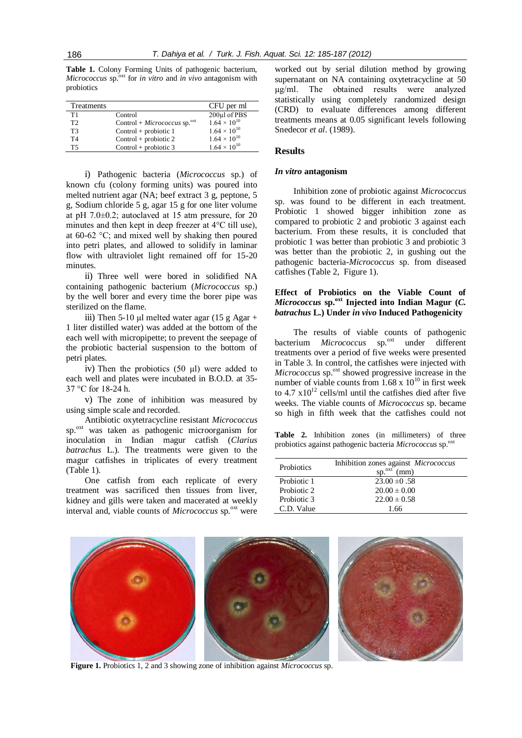**Table 1.** Colony Forming Units of pathogenic bacterium, *Micrococcus* sp.<sup>oxt</sup> for *in vitro* and *in vivo* antagonism with probiotics

| Treatments     |                                      | CFU per ml            |
|----------------|--------------------------------------|-----------------------|
| T1             | Control                              | 200µl of PBS          |
| T <sub>2</sub> | Control + $Micrococcus$ sp. $^{oxt}$ | $1.64 \times 10^{10}$ |
| T3             | $Control + probiotic 1$              | $1.64 \times 10^{10}$ |
| T4             | $Control + probiotic 2$              | $1.64 \times 10^{10}$ |
| Т5             | Control + probiotic $3$              | $1.64 \times 10^{10}$ |

i) Pathogenic bacteria (*Micrococcus* sp.) of known cfu (colony forming units) was poured into melted nutrient agar (NA; beef extract 3 g, peptone, 5 g, Sodium chloride 5 g, agar 15 g for one liter volume at pH 7.0±0.2; autoclaved at 15 atm pressure, for 20 minutes and then kept in deep freezer at 4°C till use), at 60-62 °C; and mixed well by shaking then poured into petri plates, and allowed to solidify in laminar flow with ultraviolet light remained off for 15-20 minutes.

ii) Three well were bored in solidified NA containing pathogenic bacterium (*Micrococcus* sp.) by the well borer and every time the borer pipe was sterilized on the flame.

iii) Then 5-10 µl melted water agar  $(15 \text{ g} \text{ Agar} +$ 1 liter distilled water) was added at the bottom of the each well with micropipette; to prevent the seepage of the probiotic bacterial suspension to the bottom of petri plates.

iv) Then the probiotics (50 µl) were added to each well and plates were incubated in B.O.D. at 35- 37 °C for 18-24 h.

v) The zone of inhibition was measured by using simple scale and recorded.

Antibiotic oxytetracycline resistant *Micrococcus* sp.<sup>oxt</sup> was taken as pathogenic microorganism for inoculation in Indian magur catfish (*Clarius batrachus* L.). The treatments were given to the magur catfishes in triplicates of every treatment (Table 1).

One catfish from each replicate of every treatment was sacrificed then tissues from liver, kidney and gills were taken and macerated at weekly interval and, viable counts of *Micrococcus* sp.<sup>oxt</sup> were worked out by serial dilution method by growing supernatant on NA containing oxytetracycline at 50 µg/ml. The obtained results were analyzed statistically using completely randomized design (CRD) to evaluate differences among different treatments means at 0.05 significant levels following Snedecor *et al*. (1989).

# **Results**

#### *In vitro* **antagonism**

Inhibition zone of probiotic against *Micrococcus* sp. was found to be different in each treatment. Probiotic 1 showed bigger inhibition zone as compared to probiotic 2 and probiotic 3 against each bacterium. From these results, it is concluded that probiotic 1 was better than probiotic 3 and probiotic 3 was better than the probiotic 2, in gushing out the pathogenic bacteria-*Micrococcus* sp. from diseased catfishes (Table 2, Figure 1).

# **Effect of Probiotics on the Viable Count of**  *Micrococcus* **sp.oxt Injected into Indian Magur (***C. batrachus* **L.) Under** *in vivo* **Induced Pathogenicity**

The results of viable counts of pathogenic bacterium *Micrococcus* sp.<sup>oxt</sup> under different treatments over a period of five weeks were presented in Table 3. In control, the catfishes were injected with *Micrococcus* sp.<sup>oxt</sup> showed progressive increase in the number of viable counts from  $1.68 \times 10^{10}$  in first week to  $4.7 \times 10^{12}$  cells/ml until the catfishes died after five weeks. The viable counts of *Micrococcus* sp. became so high in fifth week that the catfishes could not

**Table 2.** Inhibition zones (in millimeters) of three probiotics against pathogenic bacteria *Micrococcus* sp.<sup>oxt</sup>

| Probiotics  | Inhibition zones against <i>Micrococcus</i><br>$sp.^{ext}$<br>(mm) |
|-------------|--------------------------------------------------------------------|
| Probiotic 1 | $23.00 \pm 0.58$                                                   |
| Probiotic 2 | $20.00 \pm 0.00$                                                   |
| Probiotic 3 | $22.00 \pm 0.58$                                                   |
| C.D. Value  | 1.66                                                               |



**Figure 1.** Probiotics 1, 2 and 3 showing zone of inhibition against *Micrococcus* sp.